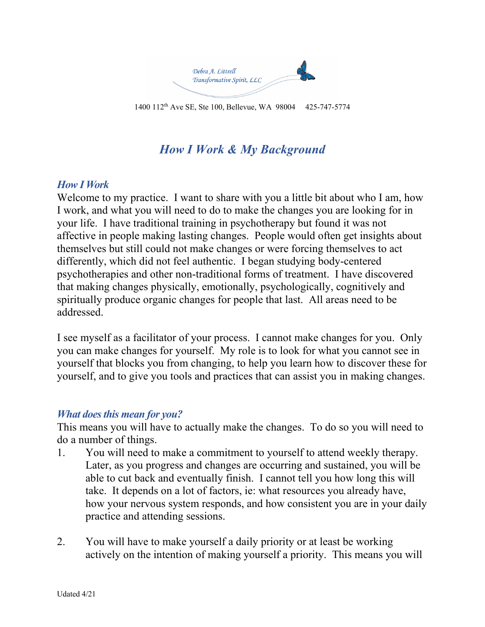

1400 112th Ave SE, Ste 100, Bellevue, WA 98004 425-747-5774

# *How I Work & My Background*

## *How I Work*

Welcome to my practice. I want to share with you a little bit about who I am, how I work, and what you will need to do to make the changes you are looking for in your life. I have traditional training in psychotherapy but found it was not affective in people making lasting changes. People would often get insights about themselves but still could not make changes or were forcing themselves to act differently, which did not feel authentic. I began studying body-centered psychotherapies and other non-traditional forms of treatment. I have discovered that making changes physically, emotionally, psychologically, cognitively and spiritually produce organic changes for people that last. All areas need to be addressed.

I see myself as a facilitator of your process. I cannot make changes for you. Only you can make changes for yourself. My role is to look for what you cannot see in yourself that blocks you from changing, to help you learn how to discover these for yourself, and to give you tools and practices that can assist you in making changes.

## *What does this mean for you?*

This means you will have to actually make the changes. To do so you will need to do a number of things.

- 1. You will need to make a commitment to yourself to attend weekly therapy. Later, as you progress and changes are occurring and sustained, you will be able to cut back and eventually finish. I cannot tell you how long this will take. It depends on a lot of factors, ie: what resources you already have, how your nervous system responds, and how consistent you are in your daily practice and attending sessions.
- 2. You will have to make yourself a daily priority or at least be working actively on the intention of making yourself a priority. This means you will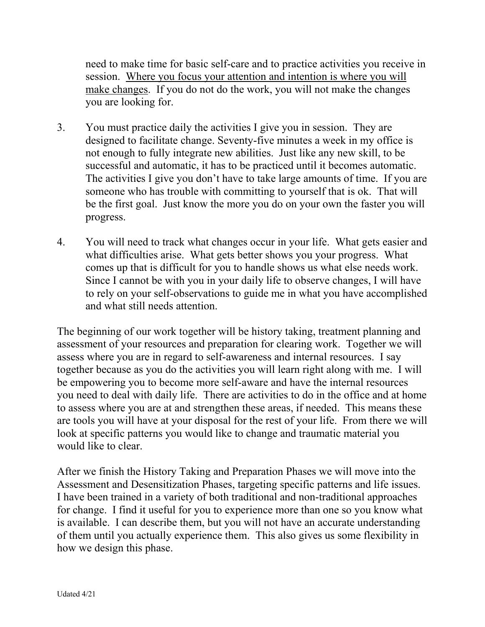need to make time for basic self-care and to practice activities you receive in session. Where you focus your attention and intention is where you will make changes. If you do not do the work, you will not make the changes you are looking for.

- 3. You must practice daily the activities I give you in session. They are designed to facilitate change. Seventy-five minutes a week in my office is not enough to fully integrate new abilities. Just like any new skill, to be successful and automatic, it has to be practiced until it becomes automatic. The activities I give you don't have to take large amounts of time. If you are someone who has trouble with committing to yourself that is ok. That will be the first goal. Just know the more you do on your own the faster you will progress.
- 4. You will need to track what changes occur in your life. What gets easier and what difficulties arise. What gets better shows you your progress. What comes up that is difficult for you to handle shows us what else needs work. Since I cannot be with you in your daily life to observe changes, I will have to rely on your self-observations to guide me in what you have accomplished and what still needs attention.

The beginning of our work together will be history taking, treatment planning and assessment of your resources and preparation for clearing work. Together we will assess where you are in regard to self-awareness and internal resources. I say together because as you do the activities you will learn right along with me. I will be empowering you to become more self-aware and have the internal resources you need to deal with daily life. There are activities to do in the office and at home to assess where you are at and strengthen these areas, if needed. This means these are tools you will have at your disposal for the rest of your life. From there we will look at specific patterns you would like to change and traumatic material you would like to clear.

After we finish the History Taking and Preparation Phases we will move into the Assessment and Desensitization Phases, targeting specific patterns and life issues. I have been trained in a variety of both traditional and non-traditional approaches for change. I find it useful for you to experience more than one so you know what is available. I can describe them, but you will not have an accurate understanding of them until you actually experience them. This also gives us some flexibility in how we design this phase.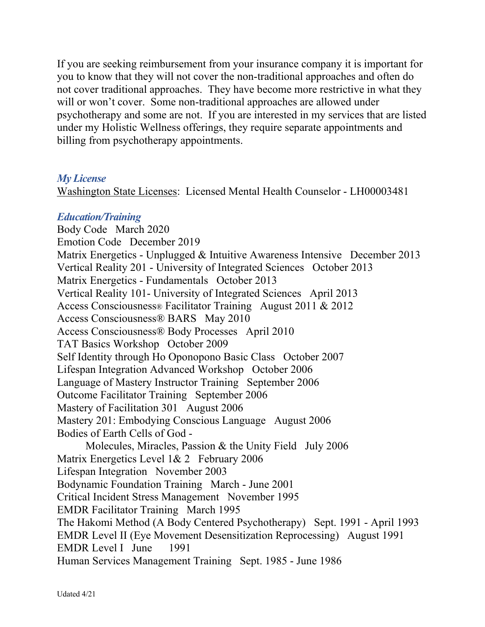If you are seeking reimbursement from your insurance company it is important for you to know that they will not cover the non-traditional approaches and often do not cover traditional approaches. They have become more restrictive in what they will or won't cover. Some non-traditional approaches are allowed under psychotherapy and some are not. If you are interested in my services that are listed under my Holistic Wellness offerings, they require separate appointments and billing from psychotherapy appointments.

#### *My License*

Washington State Licenses: Licensed Mental Health Counselor - LH00003481

#### *Education/Training*

Body Code March 2020 Emotion Code December 2019 Matrix Energetics - Unplugged & Intuitive Awareness Intensive December 2013 Vertical Reality 201 - University of Integrated Sciences October 2013 Matrix Energetics - Fundamentals October 2013 Vertical Reality 101- University of Integrated Sciences April 2013 Access Consciousness® Facilitator Training August 2011 & 2012 Access Consciousness® BARS May 2010 Access Consciousness® Body Processes April 2010 TAT Basics Workshop October 2009 Self Identity through Ho Oponopono Basic Class October 2007 Lifespan Integration Advanced Workshop October 2006 Language of Mastery Instructor Training September 2006 Outcome Facilitator Training September 2006 Mastery of Facilitation 301 August 2006 Mastery 201: Embodying Conscious Language August 2006 Bodies of Earth Cells of God - Molecules, Miracles, Passion & the Unity Field July 2006 Matrix Energetics Level 1& 2 February 2006 Lifespan Integration November 2003 Bodynamic Foundation Training March - June 2001 Critical Incident Stress Management November 1995 EMDR Facilitator Training March 1995 The Hakomi Method (A Body Centered Psychotherapy) Sept. 1991 - April 1993 EMDR Level II (Eye Movement Desensitization Reprocessing) August 1991 EMDR Level I June 1991 Human Services Management Training Sept. 1985 - June 1986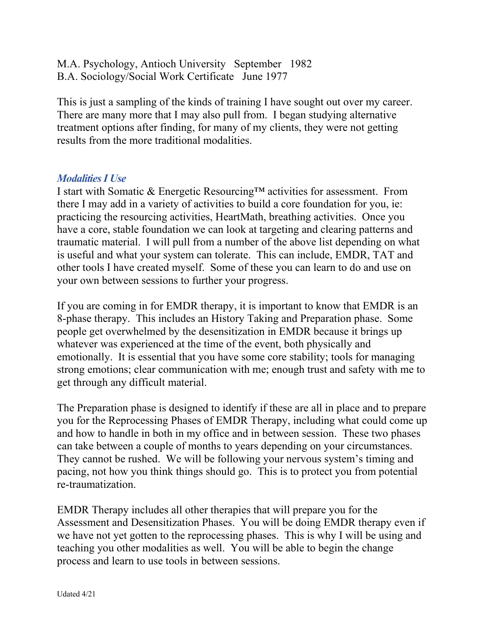M.A. Psychology, Antioch University September 1982 B.A. Sociology/Social Work Certificate June 1977

This is just a sampling of the kinds of training I have sought out over my career. There are many more that I may also pull from. I began studying alternative treatment options after finding, for many of my clients, they were not getting results from the more traditional modalities.

#### *Modalities I Use*

I start with Somatic & Energetic Resourcing™ activities for assessment. From there I may add in a variety of activities to build a core foundation for you, ie: practicing the resourcing activities, HeartMath, breathing activities. Once you have a core, stable foundation we can look at targeting and clearing patterns and traumatic material. I will pull from a number of the above list depending on what is useful and what your system can tolerate. This can include, EMDR, TAT and other tools I have created myself. Some of these you can learn to do and use on your own between sessions to further your progress.

If you are coming in for EMDR therapy, it is important to know that EMDR is an 8-phase therapy. This includes an History Taking and Preparation phase. Some people get overwhelmed by the desensitization in EMDR because it brings up whatever was experienced at the time of the event, both physically and emotionally. It is essential that you have some core stability; tools for managing strong emotions; clear communication with me; enough trust and safety with me to get through any difficult material.

The Preparation phase is designed to identify if these are all in place and to prepare you for the Reprocessing Phases of EMDR Therapy, including what could come up and how to handle in both in my office and in between session. These two phases can take between a couple of months to years depending on your circumstances. They cannot be rushed. We will be following your nervous system's timing and pacing, not how you think things should go. This is to protect you from potential re-traumatization.

EMDR Therapy includes all other therapies that will prepare you for the Assessment and Desensitization Phases. You will be doing EMDR therapy even if we have not yet gotten to the reprocessing phases. This is why I will be using and teaching you other modalities as well. You will be able to begin the change process and learn to use tools in between sessions.